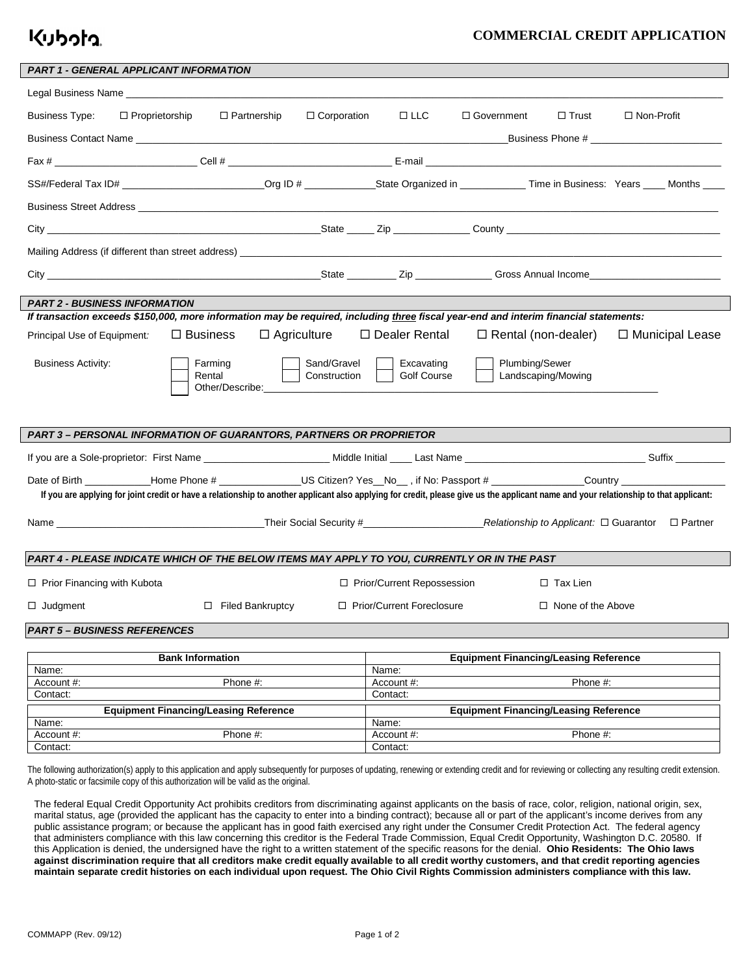## Kuboto

## **COMMERCIAL CREDIT APPLICATION**

| <b>PART 1 - GENERAL APPLICANT INFORMATION</b>                                                                                                                                         |                         |                             |                                                       |                |                            |                   |  |
|---------------------------------------------------------------------------------------------------------------------------------------------------------------------------------------|-------------------------|-----------------------------|-------------------------------------------------------|----------------|----------------------------|-------------------|--|
|                                                                                                                                                                                       |                         |                             |                                                       |                |                            |                   |  |
| <b>Business Type:</b><br>$\Box$ Proprietorship                                                                                                                                        | $\Box$ Partnership      | $\Box$ Corporation          | $\Box$ LLC                                            | □ Government   | $\Box$ Trust               | $\Box$ Non-Profit |  |
|                                                                                                                                                                                       |                         |                             |                                                       |                |                            |                   |  |
|                                                                                                                                                                                       |                         |                             |                                                       |                |                            |                   |  |
|                                                                                                                                                                                       |                         |                             |                                                       |                |                            |                   |  |
| Business Street Address League and Contract and Contract and Contract and Contract and Contract and Contract and                                                                      |                         |                             |                                                       |                |                            |                   |  |
|                                                                                                                                                                                       |                         |                             |                                                       |                |                            |                   |  |
|                                                                                                                                                                                       |                         |                             |                                                       |                |                            |                   |  |
|                                                                                                                                                                                       |                         |                             |                                                       |                |                            |                   |  |
| <b>PART 2 - BUSINESS INFORMATION</b>                                                                                                                                                  |                         |                             |                                                       |                |                            |                   |  |
| If transaction exceeds \$150,000, more information may be required, including three fiscal year-end and interim financial statements:                                                 |                         |                             |                                                       |                |                            |                   |  |
| Principal Use of Equipment:                                                                                                                                                           | $\Box$ Business         | $\Box$ Agriculture          | □ Dealer Rental                                       |                | $\Box$ Rental (non-dealer) | □ Municipal Lease |  |
| <b>Business Activity:</b>                                                                                                                                                             | Farming<br>Rental       | Sand/Gravel<br>Construction | Excavating<br><b>Golf Course</b>                      | Plumbing/Sewer | Landscaping/Mowing         |                   |  |
|                                                                                                                                                                                       |                         |                             |                                                       |                |                            |                   |  |
| PART 3 - PERSONAL INFORMATION OF GUARANTORS, PARTNERS OR PROPRIETOR                                                                                                                   |                         |                             |                                                       |                |                            |                   |  |
|                                                                                                                                                                                       |                         |                             |                                                       |                |                            |                   |  |
| Date of Birth _____________Home Phone # ________________US Citizen? Yes__No__, if No: Passport # _____________Country _________________                                               |                         |                             |                                                       |                |                            |                   |  |
| If you are applying for joint credit or have a relationship to another applicant also applying for credit, please give us the applicant name and your relationship to that applicant: |                         |                             |                                                       |                |                            |                   |  |
|                                                                                                                                                                                       |                         |                             |                                                       |                |                            |                   |  |
| PART 4 - PLEASE INDICATE WHICH OF THE BELOW ITEMS MAY APPLY TO YOU, CURRENTLY OR IN THE PAST                                                                                          |                         |                             |                                                       |                |                            |                   |  |
| $\Box$ Prior Financing with Kubota                                                                                                                                                    |                         |                             | □ Prior/Current Repossession                          |                | $\Box$ Tax Lien            |                   |  |
| $\Box$ Judgment                                                                                                                                                                       | $\Box$ Filed Bankruptcy |                             | □ Prior/Current Foreclosure                           |                | $\Box$ None of the Above   |                   |  |
| <b>PART 5 - BUSINESS REFERENCES</b>                                                                                                                                                   |                         |                             |                                                       |                |                            |                   |  |
|                                                                                                                                                                                       |                         |                             |                                                       |                |                            |                   |  |
| <b>Bank Information</b>                                                                                                                                                               |                         |                             | <b>Equipment Financing/Leasing Reference</b>          |                |                            |                   |  |
| Name:                                                                                                                                                                                 |                         |                             | Name:                                                 |                |                            |                   |  |
| Account #:                                                                                                                                                                            | Phone #:                |                             | Account #:                                            |                | Phone #:                   |                   |  |
| Contact:                                                                                                                                                                              |                         |                             | Contact:                                              |                |                            |                   |  |
| <b>Equipment Financing/Leasing Reference</b>                                                                                                                                          |                         |                             | <b>Equipment Financing/Leasing Reference</b><br>Name: |                |                            |                   |  |
| Name:<br>Account #:                                                                                                                                                                   | Phone #:                |                             | Account #:                                            |                | Phone #:                   |                   |  |
| Contact:                                                                                                                                                                              |                         |                             | Contact:                                              |                |                            |                   |  |

The following authorization(s) apply to this application and apply subsequently for purposes of updating, renewing or extending credit and for reviewing or collecting any resulting credit extension. A photo-static or facsimile copy of this authorization will be valid as the original.

The federal Equal Credit Opportunity Act prohibits creditors from discriminating against applicants on the basis of race, color, religion, national origin, sex, marital status, age (provided the applicant has the capacity to enter into a binding contract); because all or part of the applicant's income derives from any public assistance program; or because the applicant has in good faith exercised any right under the Consumer Credit Protection Act. The federal agency that administers compliance with this law concerning this creditor is the Federal Trade Commission, Equal Credit Opportunity, Washington D.C. 20580. If this Application is denied, the undersigned have the right to a written statement of the specific reasons for the denial. **Ohio Residents: The Ohio laws against discrimination require that all creditors make credit equally available to all credit worthy customers, and that credit reporting agencies maintain separate credit histories on each individual upon request. The Ohio Civil Rights Commission administers compliance with this law.**